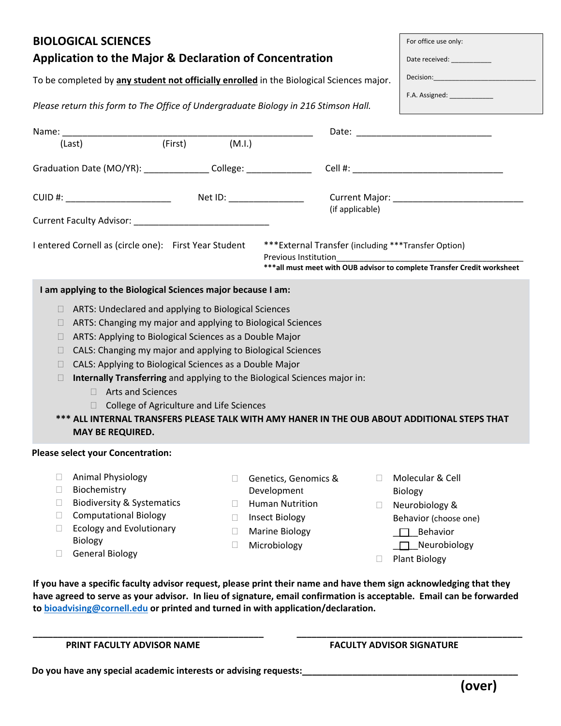| <b>BIOLOGICAL SCIENCES</b>                                                                                                                                                                                                                                                                                                                                                                                                                                                                                                                                                                                   |                                                                                                                                                                                                                                | For office use only:                                                               |  |  |  |  |  |  |
|--------------------------------------------------------------------------------------------------------------------------------------------------------------------------------------------------------------------------------------------------------------------------------------------------------------------------------------------------------------------------------------------------------------------------------------------------------------------------------------------------------------------------------------------------------------------------------------------------------------|--------------------------------------------------------------------------------------------------------------------------------------------------------------------------------------------------------------------------------|------------------------------------------------------------------------------------|--|--|--|--|--|--|
| <b>Application to the Major &amp; Declaration of Concentration</b>                                                                                                                                                                                                                                                                                                                                                                                                                                                                                                                                           | Date received: ____________                                                                                                                                                                                                    |                                                                                    |  |  |  |  |  |  |
| To be completed by any student not officially enrolled in the Biological Sciences major.                                                                                                                                                                                                                                                                                                                                                                                                                                                                                                                     | Decision: Network and the state of the state of the state of the state of the state of the state of the state of the state of the state of the state of the state of the state of the state of the state of the state of the s |                                                                                    |  |  |  |  |  |  |
|                                                                                                                                                                                                                                                                                                                                                                                                                                                                                                                                                                                                              | F.A. Assigned: _____________                                                                                                                                                                                                   |                                                                                    |  |  |  |  |  |  |
| Please return this form to The Office of Undergraduate Biology in 216 Stimson Hall.                                                                                                                                                                                                                                                                                                                                                                                                                                                                                                                          |                                                                                                                                                                                                                                |                                                                                    |  |  |  |  |  |  |
| Name: (Last) (First) (M.I.)                                                                                                                                                                                                                                                                                                                                                                                                                                                                                                                                                                                  |                                                                                                                                                                                                                                |                                                                                    |  |  |  |  |  |  |
|                                                                                                                                                                                                                                                                                                                                                                                                                                                                                                                                                                                                              |                                                                                                                                                                                                                                |                                                                                    |  |  |  |  |  |  |
| Graduation Date (MO/YR): ________________College: _____________________Cell #: _______________________________                                                                                                                                                                                                                                                                                                                                                                                                                                                                                               |                                                                                                                                                                                                                                |                                                                                    |  |  |  |  |  |  |
|                                                                                                                                                                                                                                                                                                                                                                                                                                                                                                                                                                                                              |                                                                                                                                                                                                                                |                                                                                    |  |  |  |  |  |  |
| Current Faculty Advisor: National Processing Current Processing                                                                                                                                                                                                                                                                                                                                                                                                                                                                                                                                              | (if applicable)                                                                                                                                                                                                                |                                                                                    |  |  |  |  |  |  |
| *** External Transfer (including *** Transfer Option)<br>I entered Cornell as (circle one): First Year Student<br>*** all must meet with OUB advisor to complete Transfer Credit worksheet                                                                                                                                                                                                                                                                                                                                                                                                                   |                                                                                                                                                                                                                                |                                                                                    |  |  |  |  |  |  |
| I am applying to the Biological Sciences major because I am:                                                                                                                                                                                                                                                                                                                                                                                                                                                                                                                                                 |                                                                                                                                                                                                                                |                                                                                    |  |  |  |  |  |  |
| ARTS: Undeclared and applying to Biological Sciences<br>Ш<br>ARTS: Changing my major and applying to Biological Sciences<br>П<br>ARTS: Applying to Biological Sciences as a Double Major<br>CALS: Changing my major and applying to Biological Sciences<br>П<br>CALS: Applying to Biological Sciences as a Double Major<br>Internally Transferring and applying to the Biological Sciences major in:<br>$\Box$<br>□ Arts and Sciences<br>College of Agriculture and Life Sciences<br>*** ALL INTERNAL TRANSFERS PLEASE TALK WITH AMY HANER IN THE OUB ABOUT ADDITIONAL STEPS THAT<br><b>MAY BE REQUIRED.</b> |                                                                                                                                                                                                                                |                                                                                    |  |  |  |  |  |  |
| <b>Please select your Concentration:</b>                                                                                                                                                                                                                                                                                                                                                                                                                                                                                                                                                                     |                                                                                                                                                                                                                                |                                                                                    |  |  |  |  |  |  |
| Animal Physiology<br>$\Box$<br>П<br>Biochemistry<br>$\Box$<br><b>Biodiversity &amp; Systematics</b><br>$\Box$<br>$\mathbf{L}$<br><b>Computational Biology</b><br>П<br>Ш<br><b>Ecology and Evolutionary</b><br>$\Box$<br>Ш<br>Biology                                                                                                                                                                                                                                                                                                                                                                         | Genetics, Genomics &<br>П<br>Development<br><b>Human Nutrition</b><br>$\Box$<br><b>Insect Biology</b><br><b>Marine Biology</b>                                                                                                 | Molecular & Cell<br>Biology<br>Neurobiology &<br>Behavior (choose one)<br>Behavior |  |  |  |  |  |  |
| $\Box$<br><b>General Biology</b>                                                                                                                                                                                                                                                                                                                                                                                                                                                                                                                                                                             | Microbiology<br>$\Box$                                                                                                                                                                                                         | Neurobiology<br><b>Plant Biology</b>                                               |  |  |  |  |  |  |

**If you have a specific faculty advisor request, please print their name and have them sign acknowledging that they have agreed to serve as your advisor. In lieu of signature, email confirmation is acceptable. Email can be forwarded to [bioadvising@cornell.edu](mailto:bioadvising@cornell.edu) or printed and turned in with application/declaration.** 

**\_\_\_\_\_\_\_\_\_\_\_\_\_\_\_\_\_\_\_\_\_\_\_\_\_\_\_\_\_\_\_\_\_\_\_\_\_\_\_\_\_\_\_\_\_\_ \_\_\_\_\_\_\_\_\_\_\_\_\_\_\_\_\_\_\_\_\_\_\_\_\_\_\_\_\_\_\_\_\_\_\_\_\_\_\_\_\_\_\_\_\_** 

**PRINT FACULTY ADVISOR NAME FACULTY ADVISOR SIGNATURE** 

**Do you have any special academic interests or advising requests: \_\_\_\_\_\_\_\_\_\_\_\_\_\_\_\_\_\_\_\_\_\_\_\_\_\_\_\_\_\_\_\_\_\_\_\_\_\_\_\_\_\_\_**